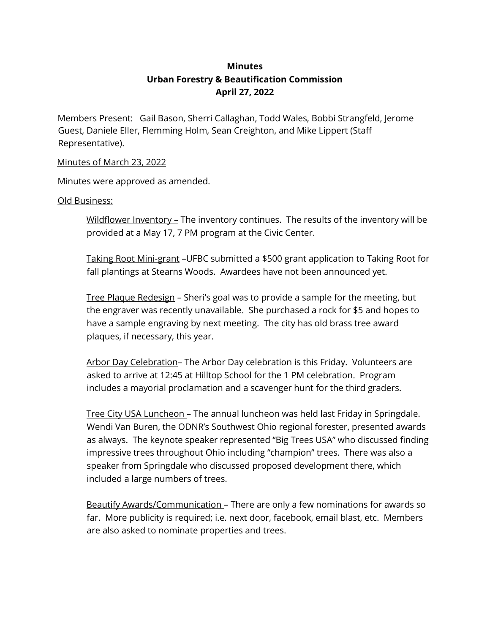## **Minutes Urban Forestry & Beautification Commission April 27, 2022**

Members Present: Gail Bason, Sherri Callaghan, Todd Wales, Bobbi Strangfeld, Jerome Guest, Daniele Eller, Flemming Holm, Sean Creighton, and Mike Lippert (Staff Representative).

## Minutes of March 23, 2022

Minutes were approved as amended.

## Old Business:

Wildflower Inventory - The inventory continues. The results of the inventory will be provided at a May 17, 7 PM program at the Civic Center.

Taking Root Mini-grant –UFBC submitted a \$500 grant application to Taking Root for fall plantings at Stearns Woods. Awardees have not been announced yet.

Tree Plaque Redesign – Sheri's goal was to provide a sample for the meeting, but the engraver was recently unavailable. She purchased a rock for \$5 and hopes to have a sample engraving by next meeting. The city has old brass tree award plaques, if necessary, this year.

Arbor Day Celebration– The Arbor Day celebration is this Friday. Volunteers are asked to arrive at 12:45 at Hilltop School for the 1 PM celebration. Program includes a mayorial proclamation and a scavenger hunt for the third graders.

Tree City USA Luncheon – The annual luncheon was held last Friday in Springdale. Wendi Van Buren, the ODNR's Southwest Ohio regional forester, presented awards as always. The keynote speaker represented "Big Trees USA" who discussed finding impressive trees throughout Ohio including "champion" trees. There was also a speaker from Springdale who discussed proposed development there, which included a large numbers of trees.

Beautify Awards/Communication – There are only a few nominations for awards so far. More publicity is required; i.e. next door, facebook, email blast, etc. Members are also asked to nominate properties and trees.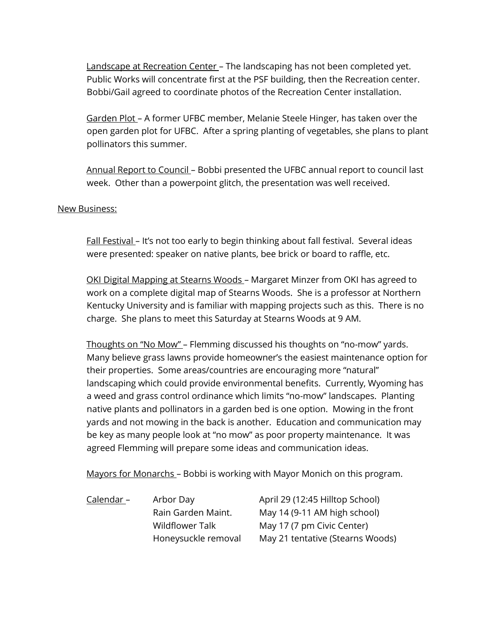Landscape at Recreation Center – The landscaping has not been completed yet. Public Works will concentrate first at the PSF building, then the Recreation center. Bobbi/Gail agreed to coordinate photos of the Recreation Center installation.

Garden Plot – A former UFBC member, Melanie Steele Hinger, has taken over the open garden plot for UFBC. After a spring planting of vegetables, she plans to plant pollinators this summer.

Annual Report to Council - Bobbi presented the UFBC annual report to council last week. Other than a powerpoint glitch, the presentation was well received.

## New Business:

Fall Festival – It's not too early to begin thinking about fall festival. Several ideas were presented: speaker on native plants, bee brick or board to raffle, etc.

OKI Digital Mapping at Stearns Woods – Margaret Minzer from OKI has agreed to work on a complete digital map of Stearns Woods. She is a professor at Northern Kentucky University and is familiar with mapping projects such as this. There is no charge. She plans to meet this Saturday at Stearns Woods at 9 AM.

Thoughts on "No Mow" - Flemming discussed his thoughts on "no-mow" yards. Many believe grass lawns provide homeowner's the easiest maintenance option for their properties. Some areas/countries are encouraging more "natural" landscaping which could provide environmental benefits. Currently, Wyoming has a weed and grass control ordinance which limits "no-mow" landscapes. Planting native plants and pollinators in a garden bed is one option. Mowing in the front yards and not mowing in the back is another. Education and communication may be key as many people look at "no mow" as poor property maintenance. It was agreed Flemming will prepare some ideas and communication ideas.

Mayors for Monarchs – Bobbi is working with Mayor Monich on this program.

Calendar – Arbor Day (12:45 Hilltop School)

Rain Garden Maint. May 14 (9-11 AM high school) Wildflower Talk May 17 (7 pm Civic Center) Honeysuckle removal May 21 tentative (Stearns Woods)